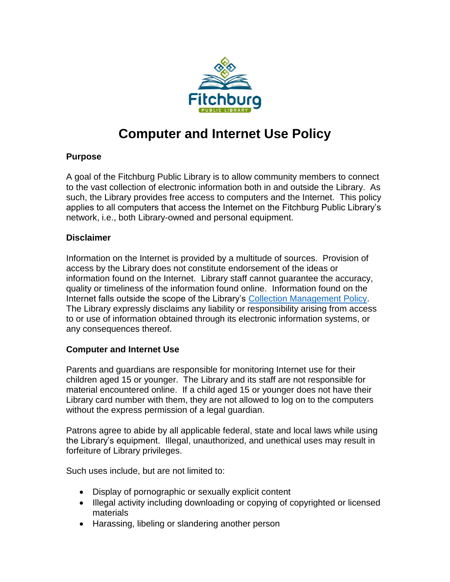

## **Computer and Internet Use Policy**

## **Purpose**

A goal of the Fitchburg Public Library is to allow community members to connect to the vast collection of electronic information both in and outside the Library. As such, the Library provides free access to computers and the Internet. This policy applies to all computers that access the Internet on the Fitchburg Public Library's network, i.e., both Library-owned and personal equipment.

## **Disclaimer**

Information on the Internet is provided by a multitude of sources. Provision of access by the Library does not constitute endorsement of the ideas or information found on the Internet. Library staff cannot guarantee the accuracy, quality or timeliness of the information found online. Information found on the Internet falls outside the scope of the Library's [Collection Management Policy.](http://fitchburgwi.gov/DocumentCenter/View/1143/Collection-Management-Policy) The Library expressly disclaims any liability or responsibility arising from access to or use of information obtained through its electronic information systems, or any consequences thereof.

## **Computer and Internet Use**

Parents and guardians are responsible for monitoring Internet use for their children aged 15 or younger. The Library and its staff are not responsible for material encountered online. If a child aged 15 or younger does not have their Library card number with them, they are not allowed to log on to the computers without the express permission of a legal guardian.

Patrons agree to abide by all applicable federal, state and local laws while using the Library's equipment. Illegal, unauthorized, and unethical uses may result in forfeiture of Library privileges.

Such uses include, but are not limited to:

- Display of pornographic or sexually explicit content
- Illegal activity including downloading or copying of copyrighted or licensed materials
- Harassing, libeling or slandering another person